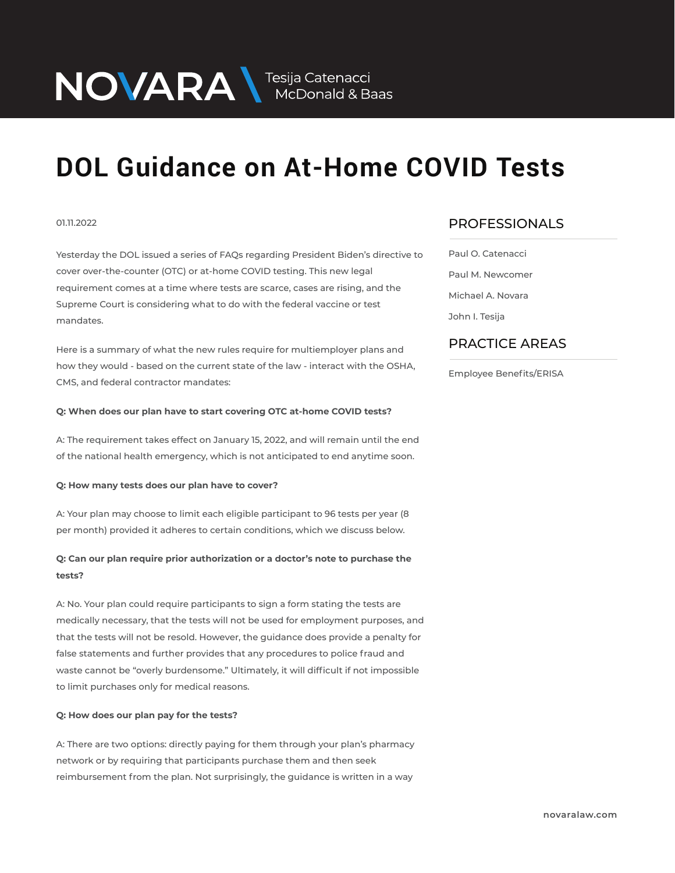NOVARA MEDOnald & Baas

## **DOL Guidance on At-Home COVID Tests**

## 01.11.2022

Yesterday the DOL issued a series of FAQs regarding President Biden's directive to cover over-the-counter (OTC) or at-home COVID testing. This new legal requirement comes at a time where tests are scarce, cases are rising, and the Supreme Court is considering what to do with the federal vaccine or test mandates.

Here is a summary of what the new rules require for multiemployer plans and how they would - based on the current state of the law - interact with the OSHA, CMS, and federal contractor mandates:

## **Q: When does our plan have to start covering OTC at-home COVID tests?**

A: The requirement takes effect on January 15, 2022, and will remain until the end of the national health emergency, which is not anticipated to end anytime soon.

## **Q: How many tests does our plan have to cover?**

A: Your plan may choose to limit each eligible participant to 96 tests per year (8 per month) provided it adheres to certain conditions, which we discuss below.

## **Q: Can our plan require prior authorization or a doctor's note to purchase the tests?**

A: No. Your plan could require participants to sign a form stating the tests are medically necessary, that the tests will not be used for employment purposes, and that the tests will not be resold. However, the guidance does provide a penalty for false statements and further provides that any procedures to police fraud and waste cannot be "overly burdensome." Ultimately, it will difficult if not impossible to limit purchases only for medical reasons.

## **Q: How does our plan pay for the tests?**

A: There are two options: directly paying for them through your plan's pharmacy network or by requiring that participants purchase them and then seek reimbursement from the plan. Not surprisingly, the guidance is written in a way

## PROFESSIONALS  $\overline{\phantom{a}}$

Paul O. Catenacci Paul M. Newcomer Michael A. Novara John I. Tesija

## PRACTICE AREAS  $\overline{\phantom{a}}$

Employee Benefits/ERISA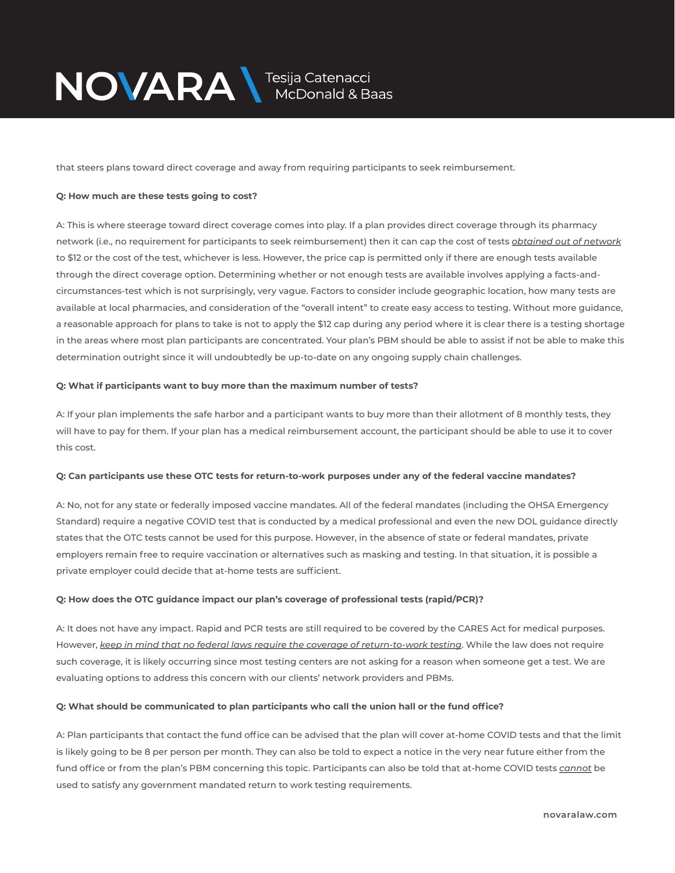

that steers plans toward direct coverage and away from requiring participants to seek reimbursement.

## **Q: How much are these tests going to cost?**

A: This is where steerage toward direct coverage comes into play. If a plan provides direct coverage through its pharmacy network (i.e., no requirement for participants to seek reimbursement) then it can cap the cost of tests *obtained out of network* to \$12 or the cost of the test, whichever is less. However, the price cap is permitted only if there are enough tests available through the direct coverage option. Determining whether or not enough tests are available involves applying a facts-andcircumstances-test which is not surprisingly, very vague. Factors to consider include geographic location, how many tests are available at local pharmacies, and consideration of the "overall intent" to create easy access to testing. Without more guidance, a reasonable approach for plans to take is not to apply the \$12 cap during any period where it is clear there is a testing shortage in the areas where most plan participants are concentrated. Your plan's PBM should be able to assist if not be able to make this determination outright since it will undoubtedly be up-to-date on any ongoing supply chain challenges.

## **Q: What if participants want to buy more than the maximum number of tests?**

A: If your plan implements the safe harbor and a participant wants to buy more than their allotment of 8 monthly tests, they will have to pay for them. If your plan has a medical reimbursement account, the participant should be able to use it to cover this cost.

## **Q: Can participants use these OTC tests for return-to-work purposes under any of the federal vaccine mandates?**

A: No, not for any state or federally imposed vaccine mandates. All of the federal mandates (including the OHSA Emergency Standard) require a negative COVID test that is conducted by a medical professional and even the new DOL guidance directly states that the OTC tests cannot be used for this purpose. However, in the absence of state or federal mandates, private employers remain free to require vaccination or alternatives such as masking and testing. In that situation, it is possible a private employer could decide that at-home tests are sufficient.

## **Q: How does the OTC guidance impact our plan's coverage of professional tests (rapid/PCR)?**

A: It does not have any impact. Rapid and PCR tests are still required to be covered by the CARES Act for medical purposes. However, *keep in mind that no federal laws require the coverage of return-to-work testing*. While the law does not require such coverage, it is likely occurring since most testing centers are not asking for a reason when someone get a test. We are evaluating options to address this concern with our clients' network providers and PBMs.

## **Q: What should be communicated to plan participants who call the union hall or the fund office?**

A: Plan participants that contact the fund office can be advised that the plan will cover at-home COVID tests and that the limit is likely going to be 8 per person per month. They can also be told to expect a notice in the very near future either from the fund office or from the plan's PBM concerning this topic. Participants can also be told that at-home COVID tests *cannot* be used to satisfy any government mandated return to work testing requirements.